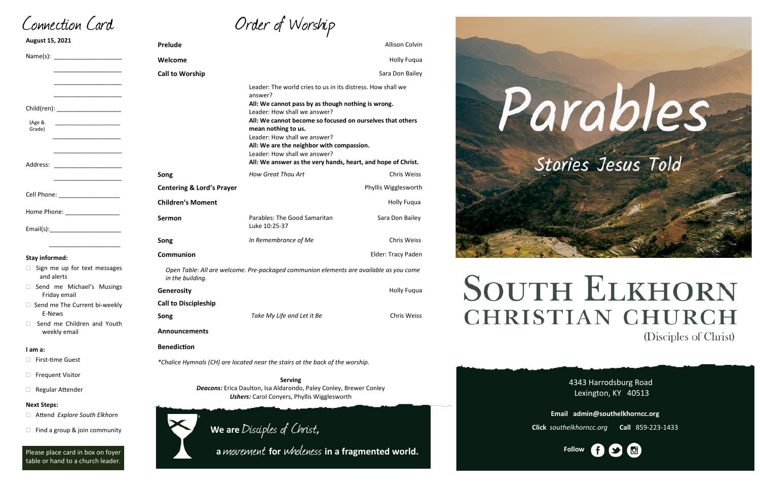Order of Worship

4343 Harrodsburg Road Lexington, KY 40513 **Email admin@southelkhorncc.org**



| August 15, 2021                                                                                                                                   | <b>Prelude</b>                                                                                                           |                                                                                                                                                                                                                                                                                                                                                                                                                               | Allison Colvin       |
|---------------------------------------------------------------------------------------------------------------------------------------------------|--------------------------------------------------------------------------------------------------------------------------|-------------------------------------------------------------------------------------------------------------------------------------------------------------------------------------------------------------------------------------------------------------------------------------------------------------------------------------------------------------------------------------------------------------------------------|----------------------|
|                                                                                                                                                   | Welcome                                                                                                                  |                                                                                                                                                                                                                                                                                                                                                                                                                               | <b>Holly Fuqua</b>   |
|                                                                                                                                                   | <b>Call to Worship</b>                                                                                                   |                                                                                                                                                                                                                                                                                                                                                                                                                               | Sara Don Bailey      |
| Child(ren): _______________________<br>(Age &<br>Grade)<br><u> 1980 - Jan Barnett, fransk politik (d. 19</u><br>Address: ________________________ |                                                                                                                          | Leader: The world cries to us in its distress. How shall we<br>answer?<br>All: We cannot pass by as though nothing is wrong.<br>Leader: How shall we answer?<br>All: We cannot become so focused on ourselves that others<br>mean nothing to us.<br>Leader: How shall we answer?<br>All: We are the neighbor with compassion.<br>Leader: How shall we answer?<br>All: We answer as the very hands, heart, and hope of Christ. |                      |
|                                                                                                                                                   | Song                                                                                                                     | How Great Thou Art                                                                                                                                                                                                                                                                                                                                                                                                            | <b>Chris Weiss</b>   |
| Cell Phone: ______________________                                                                                                                | <b>Centering &amp; Lord's Prayer</b>                                                                                     |                                                                                                                                                                                                                                                                                                                                                                                                                               | Phyllis Wigglesworth |
|                                                                                                                                                   | <b>Children's Moment</b>                                                                                                 |                                                                                                                                                                                                                                                                                                                                                                                                                               | <b>Holly Fugua</b>   |
| Home Phone: _________________                                                                                                                     | Sermon                                                                                                                   | Parables: The Good Samaritan<br>Luke 10:25-37                                                                                                                                                                                                                                                                                                                                                                                 | Sara Don Bailey      |
|                                                                                                                                                   | Song                                                                                                                     | In Remembrance of Me                                                                                                                                                                                                                                                                                                                                                                                                          | Chris Weiss          |
| <b>Stay informed:</b>                                                                                                                             | Communion                                                                                                                |                                                                                                                                                                                                                                                                                                                                                                                                                               | Elder: Tracy Paden   |
| Sign me up for text messages<br>and alerts                                                                                                        | Open Table: All are welcome. Pre-packaged communion elements are available as you come<br>in the building.               |                                                                                                                                                                                                                                                                                                                                                                                                                               |                      |
| Send me Michael's Musings<br>Friday email                                                                                                         | Generosity                                                                                                               |                                                                                                                                                                                                                                                                                                                                                                                                                               | <b>Holly Fuqua</b>   |
| □ Send me The Current bi-weekly                                                                                                                   | <b>Call to Discipleship</b>                                                                                              |                                                                                                                                                                                                                                                                                                                                                                                                                               |                      |
| E-News<br>Send me Children and Youth                                                                                                              | Song                                                                                                                     | Take My Life and Let it Be                                                                                                                                                                                                                                                                                                                                                                                                    | Chris Weiss          |
| weekly email                                                                                                                                      | <b>Announcements</b>                                                                                                     |                                                                                                                                                                                                                                                                                                                                                                                                                               |                      |
| I am a:                                                                                                                                           | <b>Benediction</b>                                                                                                       |                                                                                                                                                                                                                                                                                                                                                                                                                               |                      |
| First-time Guest                                                                                                                                  | *Chalice Hymnals (CH) are located near the stairs at the back of the worship.                                            |                                                                                                                                                                                                                                                                                                                                                                                                                               |                      |
| <b>Frequent Visitor</b>                                                                                                                           |                                                                                                                          | <b>Serving</b>                                                                                                                                                                                                                                                                                                                                                                                                                |                      |
| Regular Attender                                                                                                                                  | Deacons: Erica Daulton, Isa Aldarondo, Paley Conley, Brewer Conley<br><b>Ushers:</b> Carol Conyers, Phyllis Wigglesworth |                                                                                                                                                                                                                                                                                                                                                                                                                               |                      |
| <b>Next Steps:</b>                                                                                                                                |                                                                                                                          |                                                                                                                                                                                                                                                                                                                                                                                                                               |                      |
| Attend Explore South Elkhorn<br>Find a group & join community                                                                                     |                                                                                                                          | We are Disciples of Christ,                                                                                                                                                                                                                                                                                                                                                                                                   |                      |

**Click** *southelkhorncc.org* **Call** 859-223-1433

Connection Card

Please place card in box on foyer table or hand to a church leader.

 **<sup>a</sup>**movement **for** wholeness **in a fragmented world.**



# **SOUTH ELKHORN CHRISTIAN CHURCH** (Disciples of Christ)